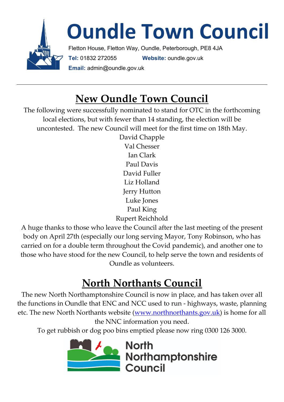

## **New Oundle Town Council**

The following were successfully nominated to stand for OTC in the forthcoming local elections, but with fewer than 14 standing, the election will be uncontested. The new Council will meet for the first time on 18th May.

> David Chapple Val Chesser Ian Clark Paul Davis David Fuller Liz Holland Jerry Hutton Luke Jones Paul King Rupert Reichhold

A huge thanks to those who leave the Council after the last meeting of the present body on April 27th (especially our long serving Mayor, Tony Robinson, who has carried on for a double term throughout the Covid pandemic), and another one to those who have stood for the new Council, to help serve the town and residents of Oundle as volunteers.

# **North Northants Council**

The new North Northamptonshire Council is now in place, and has taken over all the functions in Oundle that ENC and NCC used to run - highways, waste, planning etc. The new North Northants website [\(www.northnorthants.gov.uk\)](http://www.northnorthants.gov.uk/) is home for all the NNC information you need.

To get rubbish or dog poo bins emptied please now ring 0300 126 3000.